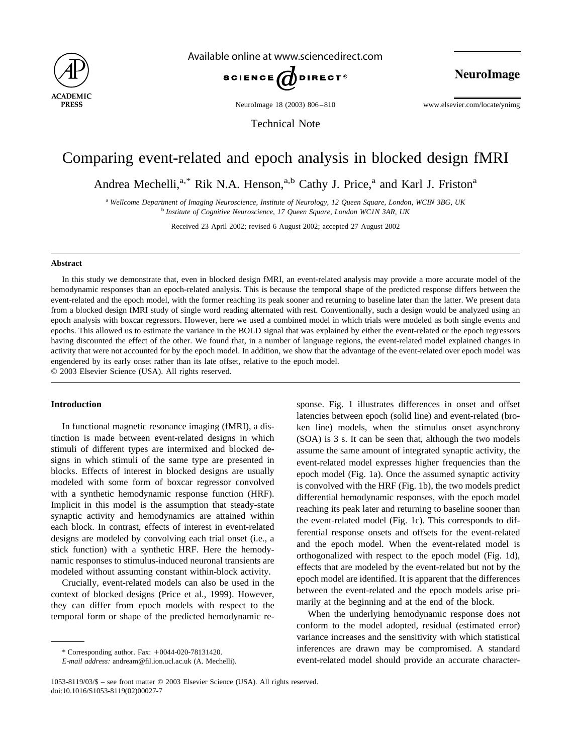

Available online at www.sciencedirect.com



**NeuroImage** 

NeuroImage 18 (2003) 806–810 www.elsevier.com/locate/ynimg

Technical Note

# Comparing event-related and epoch analysis in blocked design fMRI

Andrea Mechelli,<sup>a,\*</sup> Rik N.A. Henson,<sup>a,b</sup> Cathy J. Price,<sup>a</sup> and Karl J. Friston<sup>a</sup>

<sup>a</sup> *Wellcome Department of Imaging Neuroscience, Institute of Neurology, 12 Queen Square, London, WCIN 3BG, UK* <sup>b</sup> *Institute of Cognitive Neuroscience, 17 Queen Square, London WC1N 3AR, UK*

Received 23 April 2002; revised 6 August 2002; accepted 27 August 2002

#### **Abstract**

In this study we demonstrate that, even in blocked design fMRI, an event-related analysis may provide a more accurate model of the hemodynamic responses than an epoch-related analysis. This is because the temporal shape of the predicted response differs between the event-related and the epoch model, with the former reaching its peak sooner and returning to baseline later than the latter. We present data from a blocked design fMRI study of single word reading alternated with rest. Conventionally, such a design would be analyzed using an epoch analysis with boxcar regressors. However, here we used a combined model in which trials were modeled as both single events and epochs. This allowed us to estimate the variance in the BOLD signal that was explained by either the event-related or the epoch regressors having discounted the effect of the other. We found that, in a number of language regions, the event-related model explained changes in activity that were not accounted for by the epoch model. In addition, we show that the advantage of the event-related over epoch model was engendered by its early onset rather than its late offset, relative to the epoch model.

© 2003 Elsevier Science (USA). All rights reserved.

## **Introduction**

In functional magnetic resonance imaging (fMRI), a distinction is made between event-related designs in which stimuli of different types are intermixed and blocked designs in which stimuli of the same type are presented in blocks. Effects of interest in blocked designs are usually modeled with some form of boxcar regressor convolved with a synthetic hemodynamic response function (HRF). Implicit in this model is the assumption that steady-state synaptic activity and hemodynamics are attained within each block. In contrast, effects of interest in event-related designs are modeled by convolving each trial onset (i.e., a stick function) with a synthetic HRF. Here the hemodynamic responses to stimulus-induced neuronal transients are modeled without assuming constant within-block activity.

Crucially, event-related models can also be used in the context of blocked designs [\(Price et al., 1999\).](#page-4-0) However, they can differ from epoch models with respect to the temporal form or shape of the predicted hemodynamic response. [Fig. 1](#page-1-0) illustrates differences in onset and offset latencies between epoch (solid line) and event-related (broken line) models, when the stimulus onset asynchrony (SOA) is 3 s. It can be seen that, although the two models assume the same amount of integrated synaptic activity, the event-related model expresses higher frequencies than the epoch model [\(Fig. 1a\)](#page-1-0). Once the assumed synaptic activity is convolved with the HRF [\(Fig. 1b\)](#page-1-0), the two models predict differential hemodynamic responses, with the epoch model reaching its peak later and returning to baseline sooner than the event-related model ([Fig. 1c\)](#page-1-0). This corresponds to differential response onsets and offsets for the event-related and the epoch model. When the event-related model is orthogonalized with respect to the epoch model [\(Fig. 1d\)](#page-1-0), effects that are modeled by the event-related but not by the epoch model are identified. It is apparent that the differences between the event-related and the epoch models arise primarily at the beginning and at the end of the block.

When the underlying hemodynamic response does not conform to the model adopted, residual (estimated error) variance increases and the sensitivity with which statistical inferences are drawn may be compromised. A standard event-related model should provide an accurate character-

<sup>\*</sup> Corresponding author. Fax:  $+0044-020-78131420$ .

*E-mail address:* andream@fil.ion.ucl.ac.uk (A. Mechelli).

<sup>1053-8119/03/\$ –</sup> see front matter © 2003 Elsevier Science (USA). All rights reserved. doi:10.1016/S1053-8119(02)00027-7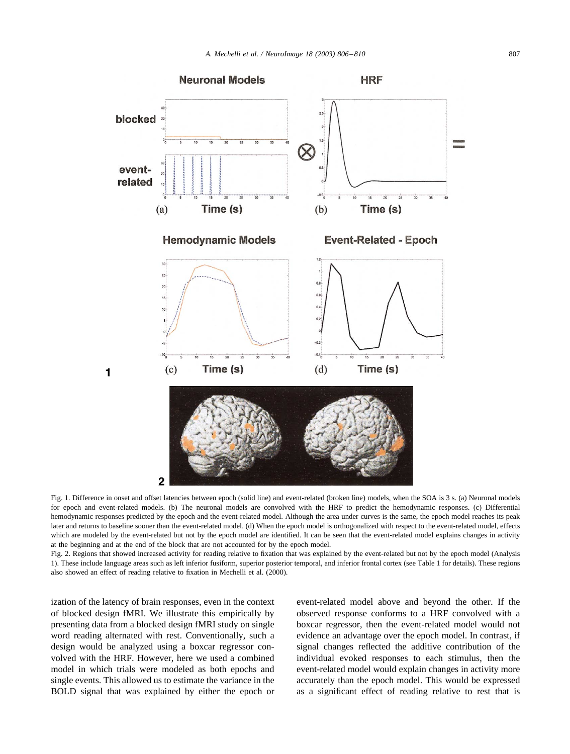<span id="page-1-0"></span>

Fig. 1. Difference in onset and offset latencies between epoch (solid line) and event-related (broken line) models, when the SOA is 3 s. (a) Neuronal models for epoch and event-related models. (b) The neuronal models are convolved with the HRF to predict the hemodynamic responses. (c) Differential hemodynamic responses predicted by the epoch and the event-related model. Although the area under curves is the same, the epoch model reaches its peak later and returns to baseline sooner than the event-related model. (d) When the epoch model is orthogonalized with respect to the event-related model, effects which are modeled by the event-related but not by the epoch model are identified. It can be seen that the event-related model explains changes in activity at the beginning and at the end of the block that are not accounted for by the epoch model.

Fig. 2. Regions that showed increased activity for reading relative to fixation that was explained by the event-related but not by the epoch model (Analysis 1). These include language areas such as left inferior fusiform, superior posterior temporal, and inferior frontal cortex (see Table 1 for details). These regions also showed an effect of reading relative to fixation in [Mechelli et al. \(2000\)](#page-4-0).

ization of the latency of brain responses, even in the context of blocked design fMRI. We illustrate this empirically by presenting data from a blocked design fMRI study on single word reading alternated with rest. Conventionally, such a design would be analyzed using a boxcar regressor convolved with the HRF. However, here we used a combined model in which trials were modeled as both epochs and single events. This allowed us to estimate the variance in the BOLD signal that was explained by either the epoch or

event-related model above and beyond the other. If the observed response conforms to a HRF convolved with a boxcar regressor, then the event-related model would not evidence an advantage over the epoch model. In contrast, if signal changes reflected the additive contribution of the individual evoked responses to each stimulus, then the event-related model would explain changes in activity more accurately than the epoch model. This would be expressed as a significant effect of reading relative to rest that is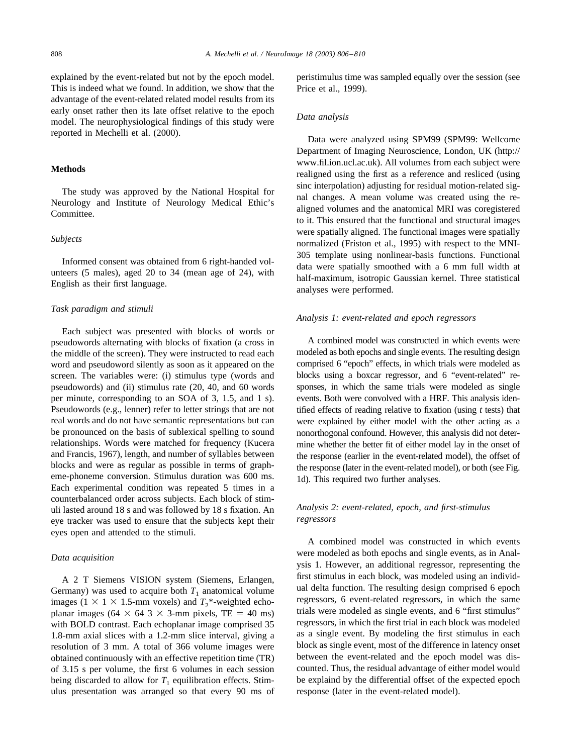explained by the event-related but not by the epoch model. This is indeed what we found. In addition, we show that the advantage of the event-related related model results from its early onset rather then its late offset relative to the epoch model. The neurophysiological findings of this study were reported in [Mechelli et al. \(2000\).](#page-4-0)

## **Methods**

The study was approved by the National Hospital for Neurology and Institute of Neurology Medical Ethic's Committee.

## *Subjects*

Informed consent was obtained from 6 right-handed volunteers (5 males), aged 20 to 34 (mean age of 24), with English as their first language.

# *Task paradigm and stimuli*

Each subject was presented with blocks of words or pseudowords alternating with blocks of fixation (a cross in the middle of the screen). They were instructed to read each word and pseudoword silently as soon as it appeared on the screen. The variables were: (i) stimulus type (words and pseudowords) and (ii) stimulus rate (20, 40, and 60 words per minute, corresponding to an SOA of 3, 1.5, and 1 s). Pseudowords (e.g., lenner) refer to letter strings that are not real words and do not have semantic representations but can be pronounced on the basis of sublexical spelling to sound relationships. Words were matched for frequency [\(Kucera](#page-4-0) [and Francis, 1967\)](#page-4-0), length, and number of syllables between blocks and were as regular as possible in terms of grapheme-phoneme conversion. Stimulus duration was 600 ms. Each experimental condition was repeated 5 times in a counterbalanced order across subjects. Each block of stimuli lasted around 18 s and was followed by 18 s fixation. An eye tracker was used to ensure that the subjects kept their eyes open and attended to the stimuli.

#### *Data acquisition*

A 2 T Siemens VISION system (Siemens, Erlangen, Germany) was used to acquire both  $T_1$  anatomical volume images ( $1 \times 1 \times 1.5$ -mm voxels) and  $T_2^*$ -weighted echoplanar images  $(64 \times 64 \times 3 \times 3$ -mm pixels, TE = 40 ms) with BOLD contrast. Each echoplanar image comprised 35 1.8-mm axial slices with a 1.2-mm slice interval, giving a resolution of 3 mm. A total of 366 volume images were obtained continuously with an effective repetition time (TR) of 3.15 s per volume, the first 6 volumes in each session being discarded to allow for  $T_1$  equilibration effects. Stimulus presentation was arranged so that every 90 ms of peristimulus time was sampled equally over the session (see [Price et al., 1999\).](#page-4-0)

### *Data analysis*

Data were analyzed using SPM99 (SPM99: Wellcome Department of Imaging Neuroscience, London, UK (http:// www.fil.ion.ucl.ac.uk). All volumes from each subject were realigned using the first as a reference and resliced (using sinc interpolation) adjusting for residual motion-related signal changes. A mean volume was created using the realigned volumes and the anatomical MRI was coregistered to it. This ensured that the functional and structural images were spatially aligned. The functional images were spatially normalized [\(Friston et al., 1995\)](#page-4-0) with respect to the MNI-305 template using nonlinear-basis functions. Functional data were spatially smoothed with a 6 mm full width at half-maximum, isotropic Gaussian kernel. Three statistical analyses were performed.

#### *Analysis 1: event-related and epoch regressors*

A combined model was constructed in which events were modeled as both epochs and single events. The resulting design comprised 6 "epoch" effects, in which trials were modeled as blocks using a boxcar regressor, and 6 "event-related" responses, in which the same trials were modeled as single events. Both were convolved with a HRF. This analysis identified effects of reading relative to fixation (using *t* tests) that were explained by either model with the other acting as a nonorthogonal confound. However, this analysis did not determine whether the better fit of either model lay in the onset of the response (earlier in the event-related model), the offset of the response (later in the event-related model), or both (see [Fig.](#page-1-0) [1d](#page-1-0)). This required two further analyses.

# *Analysis 2: event-related, epoch, and first-stimulus regressors*

A combined model was constructed in which events were modeled as both epochs and single events, as in Analysis 1. However, an additional regressor, representing the first stimulus in each block, was modeled using an individual delta function. The resulting design comprised 6 epoch regressors, 6 event-related regressors, in which the same trials were modeled as single events, and 6 "first stimulus" regressors, in which the first trial in each block was modeled as a single event. By modeling the first stimulus in each block as single event, most of the difference in latency onset between the event-related and the epoch model was discounted. Thus, the residual advantage of either model would be explaind by the differential offset of the expected epoch response (later in the event-related model).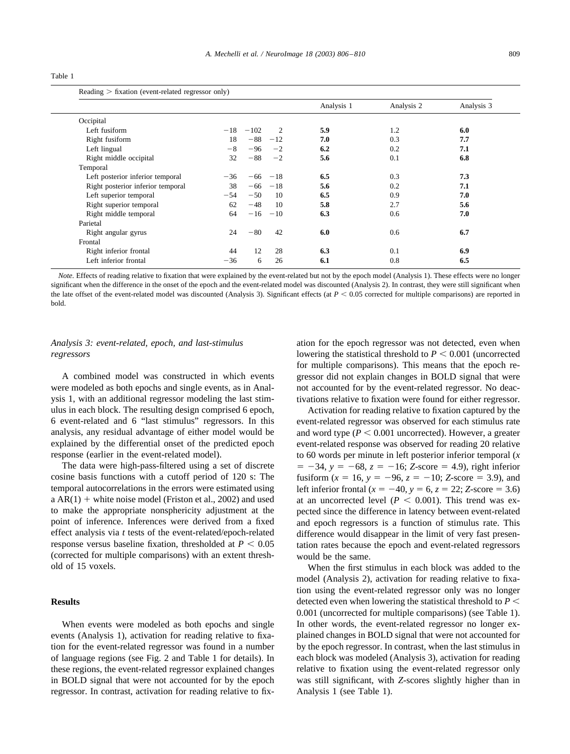|  |  |  |  | $Reading > fixation (event-related regressor only)$ |  |  |
|--|--|--|--|-----------------------------------------------------|--|--|
|--|--|--|--|-----------------------------------------------------|--|--|

|                                   |       |        |       | Analysis 1 | Analysis 2 | Analysis 3 |
|-----------------------------------|-------|--------|-------|------------|------------|------------|
| Occipital                         |       |        |       |            |            |            |
| Left fusiform                     | $-18$ | $-102$ | 2     | 5.9        | 1.2        | 6.0        |
| Right fusiform                    | 18    | $-88$  | $-12$ | 7.0        | 0.3        | 7.7        |
| Left lingual                      | $-8$  | $-96$  | $-2$  | 6.2        | 0.2        | 7.1        |
| Right middle occipital            | 32    | $-88$  | $-2$  | 5.6        | 0.1        | 6.8        |
| Temporal                          |       |        |       |            |            |            |
| Left posterior inferior temporal  | $-36$ | $-66$  | $-18$ | 6.5        | 0.3        | 7.3        |
| Right posterior inferior temporal | 38    | $-66$  | $-18$ | 5.6        | 0.2        | 7.1        |
| Left superior temporal            | $-54$ | $-50$  | 10    | 6.5        | 0.9        | 7.0        |
| Right superior temporal           | 62    | $-48$  | 10    | 5.8        | 2.7        | 5.6        |
| Right middle temporal             | 64    | $-16$  | $-10$ | 6.3        | 0.6        | 7.0        |
| Parietal                          |       |        |       |            |            |            |
| Right angular gyrus               | 24    | $-80$  | 42    | 6.0        | 0.6        | 6.7        |
| Frontal                           |       |        |       |            |            |            |
| Right inferior frontal            | 44    | 12     | 28    | 6.3        | 0.1        | 6.9        |
| Left inferior frontal             | $-36$ | 6      | 26    | 6.1        | 0.8        | 6.5        |

*Note.* Effects of reading relative to fixation that were explained by the event-related but not by the epoch model (Analysis 1). These effects were no longer significant when the difference in the onset of the epoch and the event-related model was discounted (Analysis 2). In contrast, they were still significant when the late offset of the event-related model was discounted (Analysis 3). Significant effects (at *P* < 0.05 corrected for multiple comparisons) are reported in bold.

# *Analysis 3: event-related, epoch, and last-stimulus regressors*

A combined model was constructed in which events were modeled as both epochs and single events, as in Analysis 1, with an additional regressor modeling the last stimulus in each block. The resulting design comprised 6 epoch, 6 event-related and 6 "last stimulus" regressors. In this analysis, any residual advantage of either model would be explained by the differential onset of the predicted epoch response (earlier in the event-related model).

The data were high-pass-filtered using a set of discrete cosine basis functions with a cutoff period of 120 s: The temporal autocorrelations in the errors were estimated using  $a AR(1) + white noise model (Friston et al., 2002) and used$  $a AR(1) + white noise model (Friston et al., 2002) and used$  $a AR(1) + white noise model (Friston et al., 2002) and used$ to make the appropriate nonsphericity adjustment at the point of inference. Inferences were derived from a fixed effect analysis via *t* tests of the event-related/epoch-related response versus baseline fixation, thresholded at  $P \leq 0.05$ (corrected for multiple comparisons) with an extent threshold of 15 voxels.

# **Results**

When events were modeled as both epochs and single events (Analysis 1), activation for reading relative to fixation for the event-related regressor was found in a number of language regions (see [Fig. 2](#page-1-0) and Table 1 for details). In these regions, the event-related regressor explained changes in BOLD signal that were not accounted for by the epoch regressor. In contrast, activation for reading relative to fixation for the epoch regressor was not detected, even when lowering the statistical threshold to  $P \leq 0.001$  (uncorrected for multiple comparisons). This means that the epoch regressor did not explain changes in BOLD signal that were not accounted for by the event-related regressor. No deactivations relative to fixation were found for either regressor.

Activation for reading relative to fixation captured by the event-related regressor was observed for each stimulus rate and word type  $(P < 0.001$  uncorrected). However, a greater event-related response was observed for reading 20 relative to 60 words per minute in left posterior inferior temporal (*x*  $= -34$ ,  $y = -68$ ,  $z = -16$ ; *Z*-score = 4.9), right inferior fusiform  $(x = 16, y = -96, z = -10; Z\text{-score} = 3.9)$ , and left inferior frontal ( $x = -40$ ,  $y = 6$ ,  $z = 22$ ; *Z*-score = 3.6) at an uncorrected level ( $P < 0.001$ ). This trend was expected since the difference in latency between event-related and epoch regressors is a function of stimulus rate. This difference would disappear in the limit of very fast presentation rates because the epoch and event-related regressors would be the same.

When the first stimulus in each block was added to the model (Analysis 2), activation for reading relative to fixation using the event-related regressor only was no longer detected even when lowering the statistical threshold to *P* 0.001 (uncorrected for multiple comparisons) (see Table 1). In other words, the event-related regressor no longer explained changes in BOLD signal that were not accounted for by the epoch regressor. In contrast, when the last stimulus in each block was modeled (Analysis 3), activation for reading relative to fixation using the event-related regressor only was still significant, with *Z*-scores slightly higher than in Analysis 1 (see Table 1).